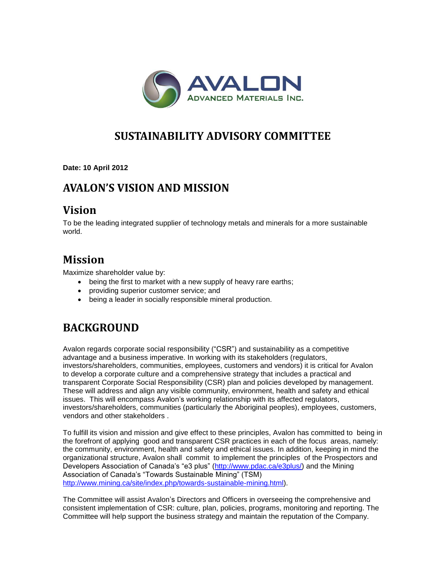

### **SUSTAINABILITY ADVISORY COMMITTEE**

**Date: 10 April 2012**

### **AVALON'S VISION AND MISSION**

#### **Vision**

To be the leading integrated supplier of technology metals and minerals for a more sustainable world.

#### **Mission**

Maximize shareholder value by:

- being the first to market with a new supply of heavy rare earths;
- providing superior customer service; and
- being a leader in socially responsible mineral production.

## **BACKGROUND**

Avalon regards corporate social responsibility ("CSR") and sustainability as a competitive advantage and a business imperative. In working with its stakeholders (regulators, investors/shareholders, communities, employees, customers and vendors) it is critical for Avalon to develop a corporate culture and a comprehensive strategy that includes a practical and transparent Corporate Social Responsibility (CSR) plan and policies developed by management. These will address and align any visible community, environment, health and safety and ethical issues. This will encompass Avalon's working relationship with its affected regulators, investors/shareholders, communities (particularly the Aboriginal peoples), employees, customers, vendors and other stakeholders .

To fulfill its vision and mission and give effect to these principles, Avalon has committed to being in the forefront of applying good and transparent CSR practices in each of the focus areas, namely: the community, environment, health and safety and ethical issues. In addition, keeping in mind the organizational structure, Avalon shall commit to implement the principles of the Prospectors and Developers Association of Canada's "e3 plus" [\(http://www.pdac.ca/e3plus/\)](http://www.pdac.ca/e3plus/) and the Mining Association of Canada's "Towards Sustainable Mining" (TSM) [http://www.mining.ca/site/index.php/towards-sustainable-mining.html\)](http://www.mining.ca/site/index.php/towards-sustainable-mining.html).

The Committee will assist Avalon's Directors and Officers in overseeing the comprehensive and consistent implementation of CSR: culture, plan, policies, programs, monitoring and reporting. The Committee will help support the business strategy and maintain the reputation of the Company.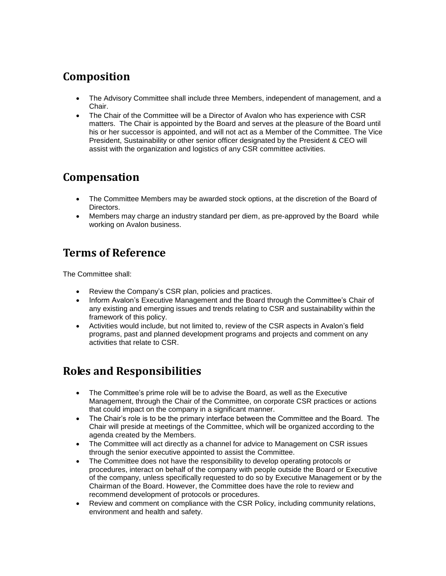# **Composition**

- The Advisory Committee shall include three Members, independent of management, and a Chair.
- The Chair of the Committee will be a Director of Avalon who has experience with CSR matters. The Chair is appointed by the Board and serves at the pleasure of the Board until his or her successor is appointed, and will not act as a Member of the Committee. The Vice President, Sustainability or other senior officer designated by the President & CEO will assist with the organization and logistics of any CSR committee activities.

## **Compensation**

- The Committee Members may be awarded stock options, at the discretion of the Board of Directors.
- Members may charge an industry standard per diem, as pre-approved by the Board while working on Avalon business.

# **Terms of Reference**

The Committee shall:

- Review the Company's CSR plan, policies and practices.
- Inform Avalon's Executive Management and the Board through the Committee's Chair of any existing and emerging issues and trends relating to CSR and sustainability within the framework of this policy.
- Activities would include, but not limited to, review of the CSR aspects in Avalon's field programs, past and planned development programs and projects and comment on any activities that relate to CSR.

## **Roles and Responsibilities**

- The Committee's prime role will be to advise the Board, as well as the Executive Management, through the Chair of the Committee, on corporate CSR practices or actions that could impact on the company in a significant manner.
- The Chair's role is to be the primary interface between the Committee and the Board. The Chair will preside at meetings of the Committee, which will be organized according to the agenda created by the Members.
- The Committee will act directly as a channel for advice to Management on CSR issues through the senior executive appointed to assist the Committee.
- The Committee does not have the responsibility to develop operating protocols or procedures, interact on behalf of the company with people outside the Board or Executive of the company, unless specifically requested to do so by Executive Management or by the Chairman of the Board. However, the Committee does have the role to review and recommend development of protocols or procedures.
- Review and comment on compliance with the CSR Policy, including community relations, environment and health and safety.